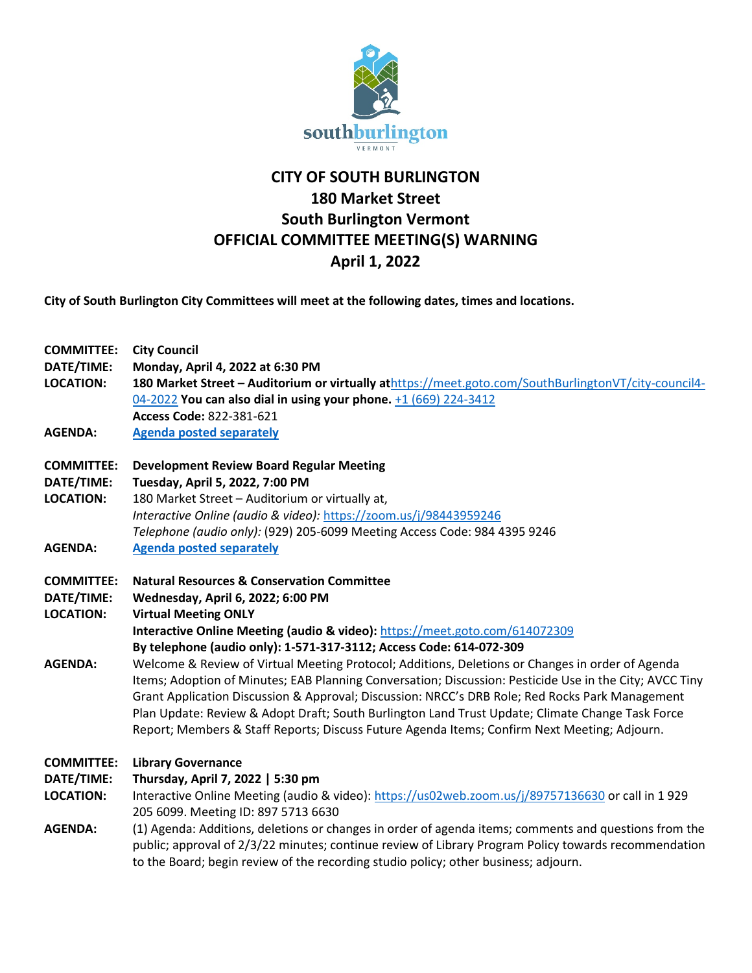

## **CITY OF SOUTH BURLINGTON 180 Market Street South Burlington Vermont OFFICIAL COMMITTEE MEETING(S) WARNING April 1, 2022**

**City of South Burlington City Committees will meet at the following dates, times and locations.** 

| <b>COMMITTEE:</b> | <b>City Council</b>                                                                                                                                                                         |
|-------------------|---------------------------------------------------------------------------------------------------------------------------------------------------------------------------------------------|
| DATE/TIME:        | Monday, April 4, 2022 at 6:30 PM                                                                                                                                                            |
| <b>LOCATION:</b>  | 180 Market Street - Auditorium or virtually athttps://meet.goto.com/SouthBurlingtonVT/city-council4-                                                                                        |
|                   | 04-2022 You can also dial in using your phone. +1 (669) 224-3412                                                                                                                            |
|                   | Access Code: 822-381-621                                                                                                                                                                    |
| <b>AGENDA:</b>    | <b>Agenda posted separately</b>                                                                                                                                                             |
| <b>COMMITTEE:</b> | <b>Development Review Board Regular Meeting</b>                                                                                                                                             |
| DATE/TIME:        | Tuesday, April 5, 2022, 7:00 PM                                                                                                                                                             |
| <b>LOCATION:</b>  | 180 Market Street - Auditorium or virtually at,                                                                                                                                             |
|                   | Interactive Online (audio & video): https://zoom.us/j/98443959246                                                                                                                           |
|                   | Telephone (audio only): (929) 205-6099 Meeting Access Code: 984 4395 9246                                                                                                                   |
| <b>AGENDA:</b>    | <b>Agenda posted separately</b>                                                                                                                                                             |
| <b>COMMITTEE:</b> | <b>Natural Resources &amp; Conservation Committee</b>                                                                                                                                       |
| DATE/TIME:        | Wednesday, April 6, 2022; 6:00 PM                                                                                                                                                           |
| <b>LOCATION:</b>  | <b>Virtual Meeting ONLY</b>                                                                                                                                                                 |
|                   | Interactive Online Meeting (audio & video): https://meet.goto.com/614072309                                                                                                                 |
|                   | By telephone (audio only): 1-571-317-3112; Access Code: 614-072-309                                                                                                                         |
| <b>AGENDA:</b>    | Welcome & Review of Virtual Meeting Protocol; Additions, Deletions or Changes in order of Agenda                                                                                            |
|                   | Items; Adoption of Minutes; EAB Planning Conversation; Discussion: Pesticide Use in the City; AVCC Tiny                                                                                     |
|                   | Grant Application Discussion & Approval; Discussion: NRCC's DRB Role; Red Rocks Park Management                                                                                             |
|                   | Plan Update: Review & Adopt Draft; South Burlington Land Trust Update; Climate Change Task Force                                                                                            |
|                   | Report; Members & Staff Reports; Discuss Future Agenda Items; Confirm Next Meeting; Adjourn.                                                                                                |
| <b>COMMITTEE:</b> | <b>Library Governance</b>                                                                                                                                                                   |
| DATE/TIME:        | Thursday, April 7, 2022   5:30 pm                                                                                                                                                           |
| <b>LOCATION:</b>  | Interactive Online Meeting (audio & video): https://us02web.zoom.us/j/89757136630 or call in 1929<br>205 6099. Meeting ID: 897 5713 6630                                                    |
| <b>AGENDA:</b>    | (1) Agenda: Additions, deletions or changes in order of agenda items; comments and questions from the                                                                                       |
|                   | public; approval of 2/3/22 minutes; continue review of Library Program Policy towards recommendation<br>to the Board; begin review of the recording studio policy; other business; adjourn. |
|                   |                                                                                                                                                                                             |